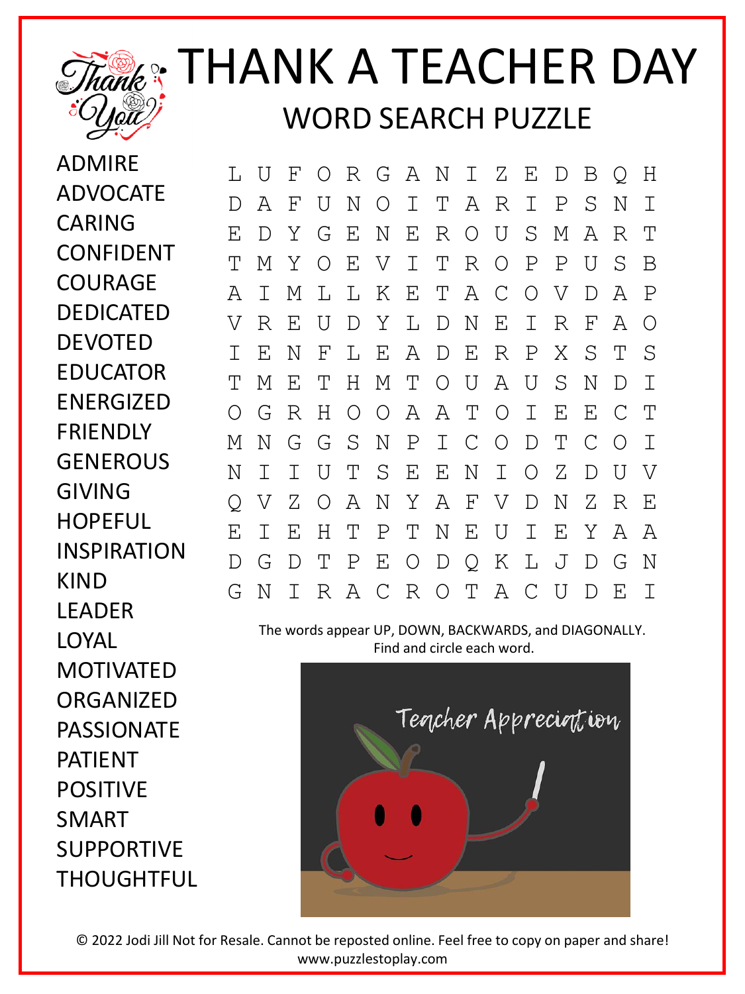

## Thank<sup>®</sup>: THANK A TEACHER DAY WORD SEARCH PUZZLE

ADMIRE **ADVOCATE** CARING CONFIDENT COURAGE DEDICATED **DEVOTED** EDUCATOR ENERGIZED FRIENDLY **GENEROUS** GIVING **HOPEFUL** INSPIRATION KIND LEADER LOYAL MOTIVATED ORGANIZED PASSIONATE PATIENT POSITIVE SMART SUPPORTIVE THOUGHTFUL

L U F O R G A N I Z E D B Q H D A F U N O I T A R I P S N I E D Y G E N E R O U S M A R T T M Y O E V I T R O P P U S B A I M L L K E T A C O V D A P V R E U D Y L D N E I R F A O I E N F L E A D E R P X S T S T M E T H M T O U A U S N D I O G R H O O A A T O I E E C T M N G G S N P I C O D T C O I N I I U T S E E N I O Z D U V Q V Z O A N Y A F V D N Z R E E I E H T P T N E U I E Y A A D G D T P E O D Q K L J D G N G N I R A C R O T A C U D E I

The words appear UP, DOWN, BACKWARDS, and DIAGONALLY. Find and circle each word.



© 2022 Jodi Jill Not for Resale. Cannot be reposted online. Feel free to copy on paper and share! www.puzzlestoplay.com